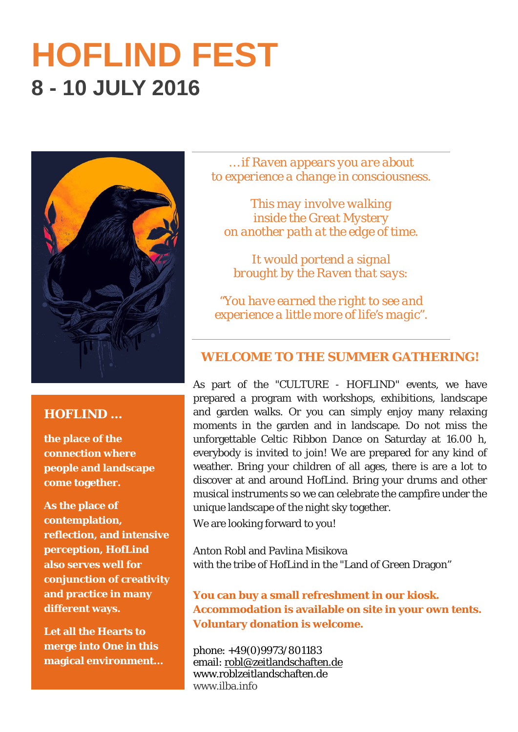# **HOFLIND FEST 8 - 10 JULY 2016**



## **HOFLIND …**

**the place of the connection where people and landscape come together.** 

**As the place of contemplation, reflection, and intensive perception, HofLind also serves well for conjunction of creativity and practice in many different ways.** 

**Let all the Hearts to merge into One in this magical environment…**

*… if Raven appears you are about to experience a change in consciousness.* 

*This may involve walking inside the Great Mystery on another path at the edge of time.* 

*It would portend a signal brought by the Raven that says:* 

*"You have earned the right to see and experience a little more of life's magic".* 

### **WELCOME TO THE SUMMER GATHERING!**

As part of the "CULTURE - HOFLIND" events, we have prepared a program with workshops, exhibitions, landscape and garden walks. Or you can simply enjoy many relaxing moments in the garden and in landscape. Do not miss the unforgettable Celtic Ribbon Dance on Saturday at 16.00 h, everybody is invited to join! We are prepared for any kind of weather. Bring your children of all ages, there is are a lot to discover at and around HofLind. Bring your drums and other musical instruments so we can celebrate the campfire under the unique landscape of the night sky together.

We are looking forward to you!

Anton Robl and Pavlina Misikova with the tribe of HofLind in the "Land of Green Dragon"

**You can buy a small refreshment in our kiosk. Accommodation is available on site in your own tents. Voluntary donation is welcome.**

phone: +49(0)9973/801183 email: <u>robl@zeitlandschaften.de</u> www.roblzeitlandschaften.de www.ilba.info